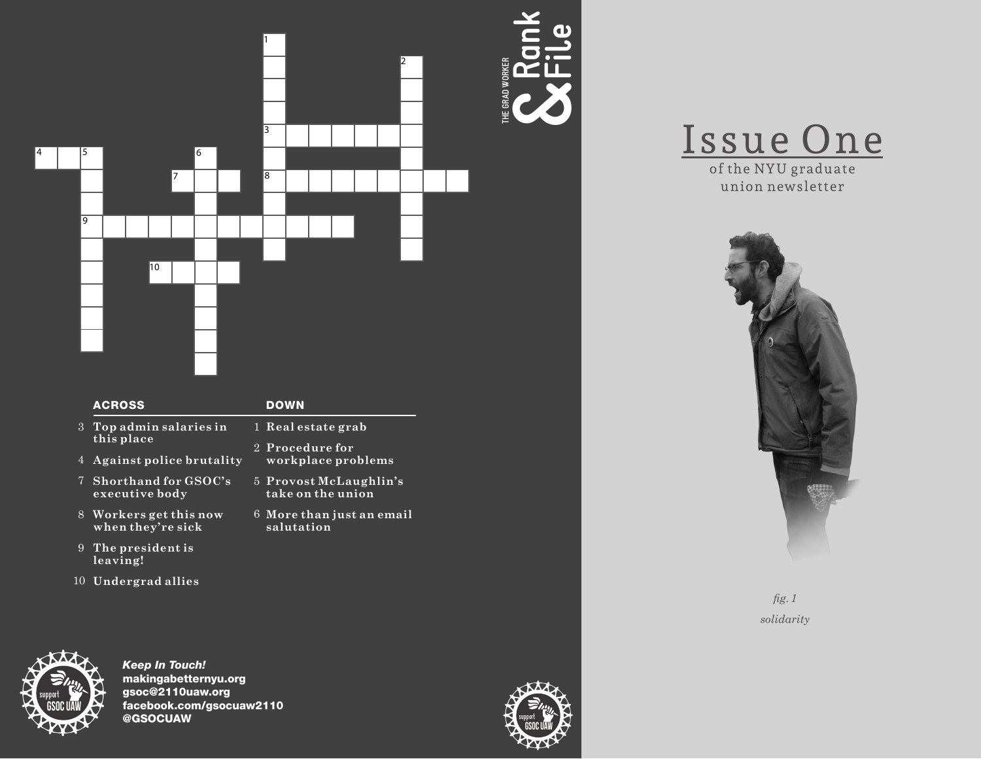

|    | <b>ACROSS</b>                               | <b>DOWN</b>                                 |
|----|---------------------------------------------|---------------------------------------------|
| 3  | Top admin salaries in<br>this place         | 1 Real estate grab                          |
|    |                                             | 2 Procedure for<br>workplace problems       |
| 4  | Against police brutality                    |                                             |
| 7  | Shorthand for GSOC's<br>executive body      | 5 Provost McLaughlin's<br>take on the union |
|    | 8 Workers get this now<br>when they're sick | 6 More than just an email<br>salutation     |
| 9  | The president is<br>leaving!                |                                             |
| 10 | Undergrad allies                            |                                             |



Keep In Touch! makingabetternyu.org gsoc@2110uaw.org facebook.com/gsocuaw2110 @GSOCUAW



**Rank**

**&**

**c** 



union newsletter



*fig. 1 solidarity*